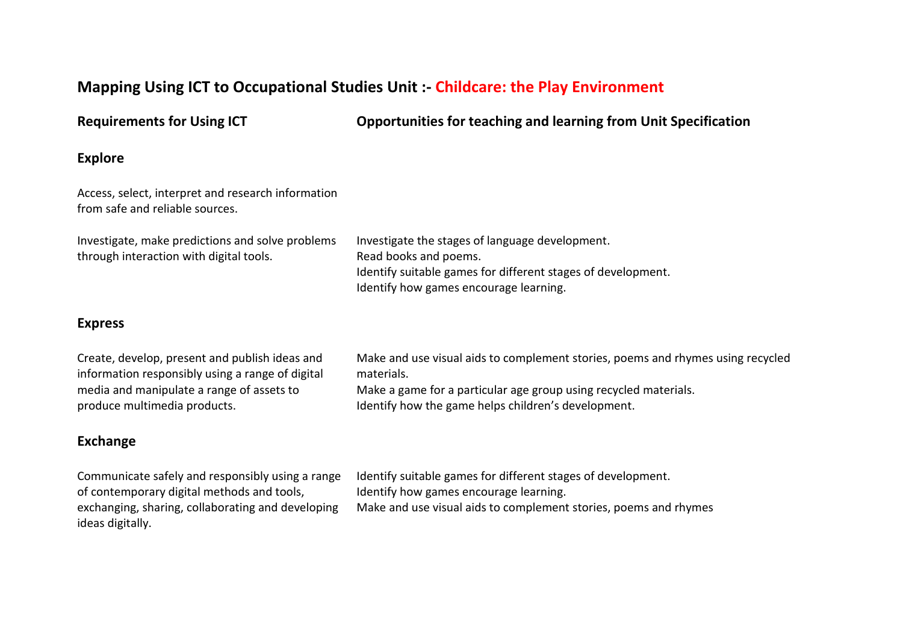# **Mapping Using ICT to Occupational Studies Unit :- Childcare: the Play Environment**

**Requirements for Using ICT Opportunities for teaching and learning from Unit Specification**

#### **Explore**

Access, select, interpret and research information from safe and reliable sources.

| Investigate, make predictions and solve problems | Investigate the stages of language development.              |
|--------------------------------------------------|--------------------------------------------------------------|
| through interaction with digital tools.          | Read books and poems.                                        |
|                                                  | Identify suitable games for different stages of development. |
|                                                  | Identify how games encourage learning.                       |

### **Express**

Create, develop, present and publish ideas and information responsibly using a range of digital media and manipulate a range of assets to produce multimedia products. Make and use visual aids to complement stories, poems and rhymes using recycled materials. Make a game for a particular age group using recycled materials. Identify how the game helps children's development.

# **Exchange**

Communicate safely and responsibly using a range of contemporary digital methods and tools, exchanging, sharing, collaborating and developing ideas digitally. Identify suitable games for different stages of development. Identify how games encourage learning. Make and use visual aids to complement stories, poems and rhymes